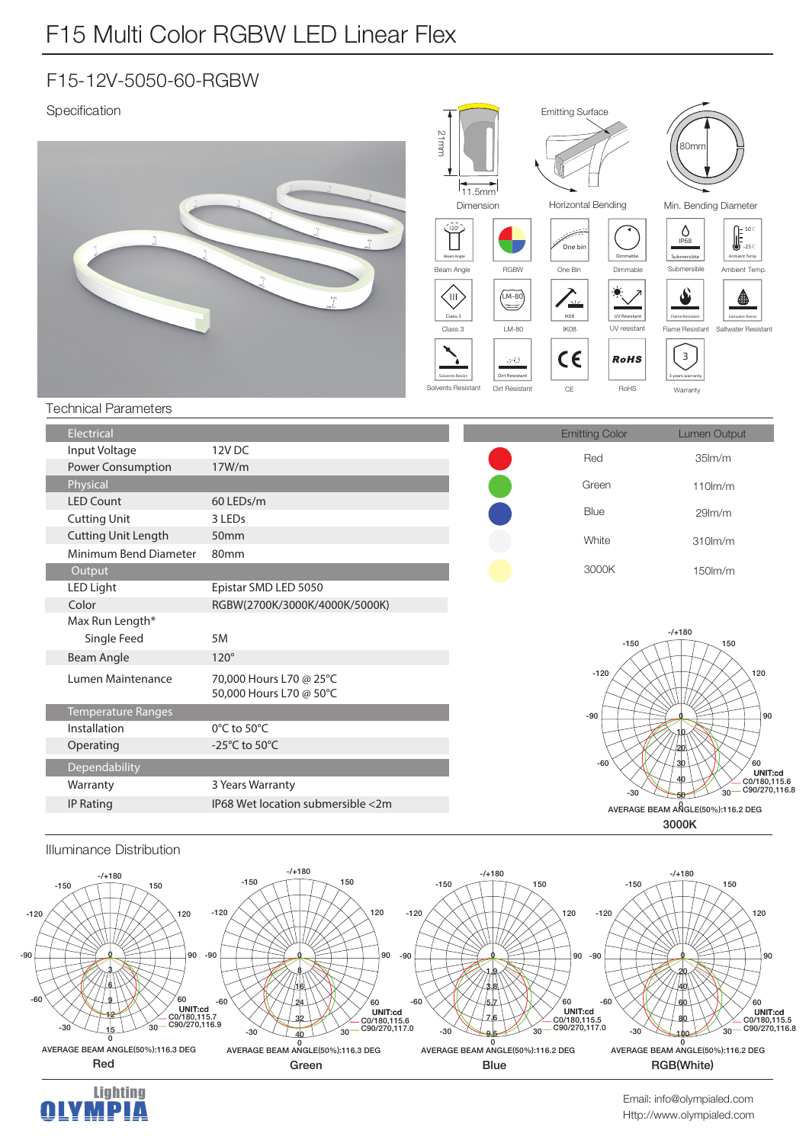## F15-12V-5050-60-RGBW

Specification





 $-120$ 

-60

 $-30$ 

Lan

 $^{\circ}$ 

р β 6 9 12  $1<sub>5</sub>$ 

AVERAGE BEAM ANGLE(50%):116.3 DEG

30

60

 $\alpha$ 

**6/07/180,115.7<br>C0/180,115.7<br>C90/270,116.9** 

AVERAGE BEAM ANGLE(50%):116.3 DEG

<u>0</u> နှ 16  $24$  $\frac{1}{3}$ 

 $30^{\circ}$ 

60

90

 $-1.20$ 

 $-90$ 

**3FE (SFFO #MVF 3(# 8IJUF** 

-61

**6/00/180,115.6** C<sub>90</sub>/270,117.0

**"7&3"(&#&"."/(-& %&(**

-30

 $30^{\circ}$ 

a 1.9 3.8  $5/$  $7.6$  $9<sub>5</sub>$ 

。<br>60

90

 $-90$ 

 $-120$ 

-ĥ

-30

UNIT:cd C0/180 115 5 C90/270,117.0

120

 $120$ 

 $-120$ 

 $-a<sub>0</sub>$ 

-60

 $-30$ 

Http://www.olympialed.com Email: info@olympialed.com

0<br>AVERAGE BEAM ANGLE(50%):116.2 DEG

RGB(White)

້າດ

 $60$ 

**6.5DEPDIT:cd**<br>C0/180,115.5 C<sub>90</sub>/270,116.8

 $90$ 

 $120$